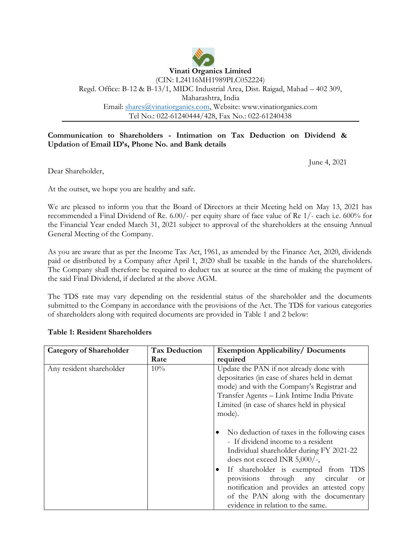

### **Communication to Shareholders - Intimation on Tax Deduction on Dividend & Updation of Email ID's, Phone No. and Bank details**

June 4, 2021

Dear Shareholder,

At the outset, we hope you are healthy and safe.

We are pleased to inform you that the Board of Directors at their Meeting held on May 13, 2021 has recommended a Final Dividend of Re. 6.00/- per equity share of face value of Re 1/- each i.e. 600% for the Financial Year ended March 31, 2021 subject to approval of the shareholders at the ensuing Annual General Meeting of the Company.

As you are aware that as per the Income Tax Act, 1961, as amended by the Finance Act, 2020, dividends paid or distributed by a Company after April 1, 2020 shall be taxable in the hands of the shareholders. The Company shall therefore be required to deduct tax at source at the time of making the payment of the said Final Dividend, if declared at the above AGM.

The TDS rate may vary depending on the residential status of the shareholder and the documents submitted to the Company in accordance with the provisions of the Act. The TDS for various categories of shareholders along with required documents are provided in Table 1 and 2 below:

| <b>Category of Shareholder</b> | <b>Tax Deduction</b> | <b>Exemption Applicability/ Documents</b>                                                                                                                                                                                                                                                                                                                                                                                                                                                                                                                                                                                                             |
|--------------------------------|----------------------|-------------------------------------------------------------------------------------------------------------------------------------------------------------------------------------------------------------------------------------------------------------------------------------------------------------------------------------------------------------------------------------------------------------------------------------------------------------------------------------------------------------------------------------------------------------------------------------------------------------------------------------------------------|
|                                | Rate                 | required                                                                                                                                                                                                                                                                                                                                                                                                                                                                                                                                                                                                                                              |
| Any resident shareholder       | 10%                  | Update the PAN if not already done with<br>depositaries (in case of shares held in demat<br>mode) and with the Company's Registrar and<br>Transfer Agents - Link Intime India Private<br>Limited (in case of shares held in physical<br>mode).<br>No deduction of taxes in the following cases<br>- If dividend income to a resident<br>Individual shareholder during FY 2021-22<br>does not exceed INR 5,000/-,<br>If shareholder is exempted from TDS<br>$\bullet$<br>provisions through any circular<br><sub>O</sub> r<br>notification and provides an attested copy<br>of the PAN along with the documentary<br>evidence in relation to the same. |

### **Table 1: Resident Shareholders**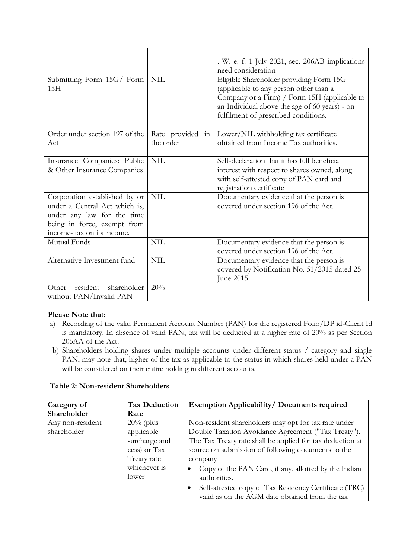|                                                                                                                                                           |                               | . W. e. f. 1 July 2021, sec. 206AB implications<br>need consideration                                                                                                                                                      |
|-----------------------------------------------------------------------------------------------------------------------------------------------------------|-------------------------------|----------------------------------------------------------------------------------------------------------------------------------------------------------------------------------------------------------------------------|
| Submitting Form 15G/ Form<br>15H                                                                                                                          | <b>NIL</b>                    | Eligible Shareholder providing Form 15G<br>(applicable to any person other than a<br>Company or a Firm) / Form 15H (applicable to<br>an Individual above the age of 60 years) - on<br>fulfilment of prescribed conditions. |
| Order under section 197 of the<br>Act                                                                                                                     | Rate provided in<br>the order | Lower/NIL withholding tax certificate<br>obtained from Income Tax authorities.                                                                                                                                             |
| Insurance Companies: Public<br>& Other Insurance Companies                                                                                                | <b>NIL</b>                    | Self-declaration that it has full beneficial<br>interest with respect to shares owned, along<br>with self-attested copy of PAN card and<br>registration certificate                                                        |
| Corporation established by or<br>under a Central Act which is,<br>under any law for the time<br>being in force, exempt from<br>income- tax on its income. | <b>NIL</b>                    | Documentary evidence that the person is<br>covered under section 196 of the Act.                                                                                                                                           |
| Mutual Funds                                                                                                                                              | <b>NIL</b>                    | Documentary evidence that the person is<br>covered under section 196 of the Act.                                                                                                                                           |
| Alternative Investment fund                                                                                                                               | <b>NIL</b>                    | Documentary evidence that the person is<br>covered by Notification No. 51/2015 dated 25<br>June 2015.                                                                                                                      |
| resident<br>shareholder<br>Other<br>without PAN/Invalid PAN                                                                                               | 20%                           |                                                                                                                                                                                                                            |

# **Please Note that:**

- a) Recording of the valid Permanent Account Number (PAN) for the registered Folio/DP id-Client Id is mandatory. In absence of valid PAN, tax will be deducted at a higher rate of 20% as per Section 206AA of the Act.
- b) Shareholders holding shares under multiple accounts under different status / category and single PAN, may note that, higher of the tax as applicable to the status in which shares held under a PAN will be considered on their entire holding in different accounts.

|  |  |  | <b>Table 2: Non-resident Shareholders</b> |
|--|--|--|-------------------------------------------|
|--|--|--|-------------------------------------------|

| Category of      | <b>Tax Deduction</b> | Exemption Applicability/ Documents required               |
|------------------|----------------------|-----------------------------------------------------------|
| Shareholder      | Rate                 |                                                           |
| Any non-resident | $20\%$ (plus         | Non-resident shareholders may opt for tax rate under      |
| shareholder      | applicable           | Double Taxation Avoidance Agreement ("Tax Treaty").       |
|                  | surcharge and        | The Tax Treaty rate shall be applied for tax deduction at |
|                  | cess) or Tax         | source on submission of following documents to the        |
|                  | Treaty rate          | company                                                   |
|                  | whichever is         | Copy of the PAN Card, if any, allotted by the Indian      |
|                  | lower                | authorities.                                              |
|                  |                      | Self-attested copy of Tax Residency Certificate (TRC)     |
|                  |                      | valid as on the AGM date obtained from the tax            |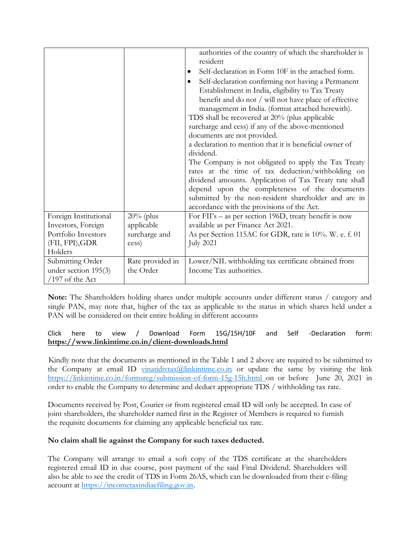|                       |                  | authorities of the country of which the shareholder is  |
|-----------------------|------------------|---------------------------------------------------------|
|                       |                  | resident                                                |
|                       |                  | Self-declaration in Form 10F in the attached form.<br>٠ |
|                       |                  | Self-declaration confirming not having a Permanent<br>٠ |
|                       |                  | Establishment in India, eligibility to Tax Treaty       |
|                       |                  | benefit and do not / will not have place of effective   |
|                       |                  | management in India. (format attached herewith).        |
|                       |                  | TDS shall be recovered at 20% (plus applicable          |
|                       |                  | surcharge and cess) if any of the above-mentioned       |
|                       |                  | documents are not provided.                             |
|                       |                  | a declaration to mention that it is beneficial owner of |
|                       |                  | dividend.                                               |
|                       |                  | The Company is not obligated to apply the Tax Treaty    |
|                       |                  | rates at the time of tax deduction/withholding on       |
|                       |                  | dividend amounts. Application of Tax Treaty rate shall  |
|                       |                  | depend upon the completeness of the documents           |
|                       |                  | submitted by the non-resident shareholder and are in    |
|                       |                  | accordance with the provisions of the Act.              |
| Foreign Institutional | $20\%$ (plus     | For FII's – as per section 196D, treaty benefit is now  |
| Investors, Foreign    | applicable       | available as per Finance Act 2021.                      |
| Portfolio Investors   | surcharge and    | As per Section 115AC for GDR, rate is 10%. W. e. f. 01  |
| (FII, FPI), GDR       | cess)            | <b>July 2021</b>                                        |
| Holders               |                  |                                                         |
| Submitting Order      | Rate provided in | Lower/NIL withholding tax certificate obtained from     |
| under section 195(3)  | the Order        | Income Tax authorities.                                 |
| $/197$ of the Act     |                  |                                                         |

**Note:** The Shareholders holding shares under multiple accounts under different status / category and single PAN, may note that, higher of the tax as applicable to the status in which shares held under a PAN will be considered on their entire holding in different accounts

## [Click here to view / Download Form 15G/15H/10F and Self -Declaration form:](http://www.sharexindia.com/downloads.php?formtype=2) **<https://www.linkintime.co.in/>client-downloads.html**

 Kindly note that the documents as mentioned in the Table 1 and 2 above are required to be submitted to the Company at email ID vinatidivtax $@$ linkintime.co.in or update the same by visiting the link <https://linkintime.co.in/formsreg/submission-of-form-15g-15h.html> on or before June 20, 2021 in order to enable the Company to determine and deduct appropriate TDS / withholding tax rate.

Documents received by Post, Courier or from registered email ID will only be accepted. In case of joint shareholders, the shareholder named first in the Register of Members is required to furnish the requisite documents for claiming any applicable beneficial tax rate.

# **No claim shall lie against the Company for such taxes deducted.**

The Company will arrange to email a soft copy of the TDS certificate at the shareholders registered email ID in due course, post payment of the said Final Dividend. Shareholders will also be able to see the credit of TDS in Form 26AS, which can be downloaded from their e-filing account at [https://incometaxindiaefiling.gov.in.](https://incometaxindiaefiling.gov.in/)